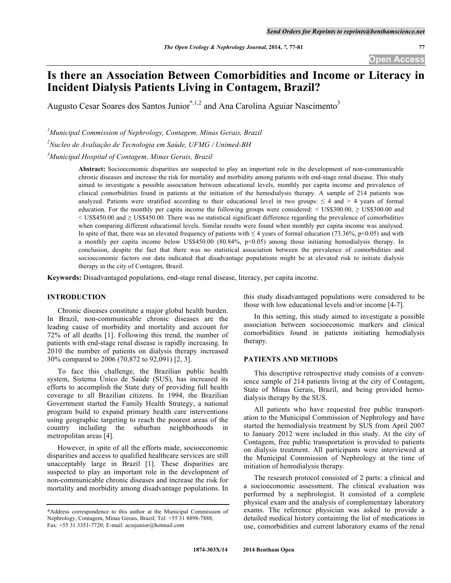# **Is there an Association Between Comorbidities and Income or Literacy in Incident Dialysis Patients Living in Contagem, Brazil?**

Augusto Cesar Soares dos Santos Junior<sup>\*,1,2</sup> and Ana Carolina Aguiar Nascimento<sup>3</sup>

*1 Municipal Commission of Nephrology, Contagem, Minas Gerais, Brazil*

*2 Nucleo de Avaliação de Tecnologia em Saúde, UFMG / Unimed-BH*

*3 Municipal Hospital of Contagem, Minas Gerais, Brazil*

**Abstract:** Socioeconomic disparities are suspected to play an important role in the development of non-communicable chronic diseases and increase the risk for mortality and morbidity among patients with end-stage renal disease. This study aimed to investigate a possible association between educational levels, monthly per capita income and prevalence of clinical comorbidities found in patients at the initiation of the hemodialysis therapy. A sample of 214 patients was analyzed. Patients were stratified according to their educational level in two groups:  $\leq 4$  and  $> 4$  years of formal education. For the monthly per capita income the following groups were considered: < US\$300.00, ≥ US\$300.00 and < US\$450.00 and ≥ US\$450.00. There was no statistical significant difference regarding the prevalence of comorbidities when comparing different educational levels. Similar results were found when monthly per capita income was analysed. In spite of that, there was an elevated frequency of patients with  $\leq 4$  years of formal education (73.36%, p<0.05) and with a monthly per capita income below US\$450.00 (80.84%,  $p<0.05$ ) among those initiating hemodialysis therapy. In conclusion, despite the fact that there was no statistical association between the prevalence of comorbidities and socioeconomic factors our data indicated that disadvantage populations might be at elevated risk to initiate dialysis therapy in the city of Contagem, Brazil.

**Keywords:** Disadvantaged populations, end-stage renal disease, literacy, per capita income.

# **INTRODUCTION**

Chronic diseases constitute a major global health burden. In Brazil, non-communicable chronic diseases are the leading cause of morbidity and mortality and account for 72% of all deaths [1]. Following this trend, the number of patients with end-stage renal disease is rapidly increasing. In 2010 the number of patients on dialysis therapy increased 30% compared to 2006 (70,872 to 92,091) [2, 3].

To face this challenge, the Brazilian public health system, Sistema Único de Saúde (SUS), has increased its efforts to accomplish the State duty of providing full health coverage to all Brazilian citizens. In 1994, the Brazilian Government started the Family Health Strategy, a national program build to expand primary health care interventions using geographic targeting to reach the poorest areas of the country including the suburban neighborhoods in metropolitan areas [4].

However, in spite of all the efforts made, socioeconomic disparities and access to qualified healthcare services are still unacceptably large in Brazil [1]. These disparities are suspected to play an important role in the development of non-communicable chronic diseases and increase the risk for mortality and morbidity among disadvantage populations. In this study disadvantaged populations were considered to be those with low educational levels and/or income [4-7].

In this setting, this study aimed to investigate a possible association between socioeconomic markers and clinical comorbidities found in patients initiating hemodialysis therapy.

#### **PATIENTS AND METHODS**

This descriptive retrospective study consists of a convenience sample of 214 patients living at the city of Contagem, State of Minas Gerais, Brazil, and being provided hemodialysis therapy by the SUS.

All patients who have requested free public transportation to the Municipal Commission of Nephrology and have started the hemodialysis treatment by SUS from April 2007 to January 2012 were included in this study. At the city of Contagem, free public transportation is provided to patients on dialysis treatment. All participants were interviewed at the Municipal Commission of Nephrology at the time of initiation of hemodialysis therapy.

The research protocol consisted of 2 parts: a clinical and a socioeconomic assessment. The clinical evaluation was performed by a nephrologist. It consisted of a complete physical exam and the analysis of complementary laboratory exams. The reference physician was asked to provide a detailed medical history containing the list of medications in use, comorbidities and current laboratory exams of the renal

<sup>\*</sup>Address correspondence to this author at the Municipal Commission of Nephrology, Contagem, Minas Gerais, Brazil; Tel: +55 31 8898-7888; Fax: +55 31 3351-7720; E-mail: acssjunior@hotmail.com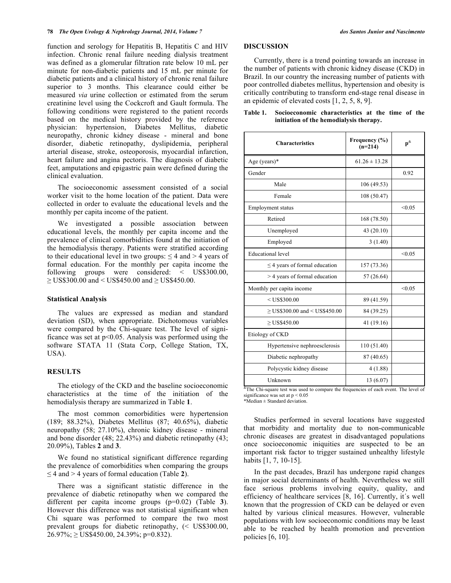function and serology for Hepatitis B, Hepatitis C and HIV infection. Chronic renal failure needing dialysis treatment was defined as a glomerular filtration rate below 10 mL per minute for non-diabetic patients and 15 mL per minute for diabetic patients and a clinical history of chronic renal failure superior to 3 months. This clearance could either be measured *via* urine collection or estimated from the serum creatinine level using the Cockcroft and Gault formula. The following conditions were registered to the patient records based on the medical history provided by the reference physician: hypertension, Diabetes Mellitus, diabetic neuropathy, chronic kidney disease - mineral and bone disorder, diabetic retinopathy, dyslipidemia, peripheral arterial disease, stroke, osteoporosis, myocardial infarction, heart failure and angina pectoris. The diagnosis of diabetic feet, amputations and epigastric pain were defined during the clinical evaluation.

The socioeconomic assessment consisted of a social worker visit to the home location of the patient. Data were collected in order to evaluate the educational levels and the monthly per capita income of the patient.

We investigated a possible association between educational levels, the monthly per capita income and the prevalence of clinical comorbidities found at the initiation of the hemodialysis therapy. Patients were stratified according to their educational level in two groups:  $\leq 4$  and  $> 4$  years of formal education. For the monthly per capita income the following groups were considered: < US\$300.00,  $\geq$  US\$300.00 and < US\$450.00 and  $\geq$  US\$450.00.

## **Statistical Analysis**

The values are expressed as median and standard deviation (SD), when appropriate. Dichotomous variables were compared by the Chi-square test. The level of significance was set at  $p<0.05$ . Analysis was performed using the software STATA 11 (Stata Corp, College Station, TX, USA).

# **RESULTS**

The etiology of the CKD and the baseline socioeconomic characteristics at the time of the initiation of the hemodialysis therapy are summarized in Table **1**.

The most common comorbidities were hypertension (189; 88.32%), Diabetes Mellitus (87; 40.65%), diabetic neuropathy (58; 27.10%), chronic kidney disease - mineral and bone disorder (48; 22.43%) and diabetic retinopathy (43; 20.09%), Tables **2** and **3**.

We found no statistical significant difference regarding the prevalence of comorbidities when comparing the groups ≤ 4 and > 4 years of formal education (Table **2**).

There was a significant statistic difference in the prevalence of diabetic retinopathy when we compared the different per capita income groups (p=0.02) (Table **3**). However this difference was not statistical significant when Chi square was performed to compare the two most prevalent groups for diabetic retinopathy, (< US\$300.00,  $26.97\%$ ;  $\geq$  US\$450.00, 24.39%; p=0.832).

#### **DISCUSSION**

Currently, there is a trend pointing towards an increase in the number of patients with chronic kidney disease (CKD) in Brazil. In our country the increasing number of patients with poor controlled diabetes mellitus, hypertension and obesity is critically contributing to transform end-stage renal disease in an epidemic of elevated costs [1, 2, 5, 8, 9].

| <b>Characteristics</b>             | Frequency (%)<br>$(n=214)$ | $p^{\&}$ |
|------------------------------------|----------------------------|----------|
| Age (years)*                       | $61.26 \pm 13.28$          |          |
| Gender                             |                            | 0.92     |
| Male                               | 106(49.53)                 |          |
| Female                             | 108 (50.47)                |          |
| Employment status                  |                            | < 0.05   |
| Retired                            | 168 (78.50)                |          |
| Unemployed                         | 43 (20.10)                 |          |
| Employed                           | 3(1.40)                    |          |
| <b>Educational</b> level           |                            | < 0.05   |
| $\leq$ 4 years of formal education | 157 (73.36)                |          |
| > 4 years of formal education      | 57(26.64)                  |          |
| Monthly per capita income          |                            | < 0.05   |
| $<$ US\$300.00                     | 89 (41.59)                 |          |
| $\geq$ US\$300.00 and < US\$450.00 | 84 (39.25)                 |          |
| $>$ US\$450.00                     | 41 (19.16)                 |          |
| Etiology of CKD                    |                            |          |
| Hypertensive nephroesclerosis      | 110 (51.40)                |          |
| Diabetic nephropathy               | 87 (40.65)                 |          |
| Polycystic kidney disease          | 4(1.88)                    |          |
| Unknown                            | 13 (6.07)                  |          |

## **Table 1. Socioeconomic characteristics at the time of the initiation of the hemodialysis therapy.**

 $\frac{1}{x}$ The Chi-square test was used to compare the frequencies of each event. The level of significance was set at  $p < 0.05$ \*Median ± Standard deviation.

Studies performed in several locations have suggested that morbidity and mortality due to non-communicable chronic diseases are greatest in disadvantaged populations once socioeconomic iniquities are suspected to be an important risk factor to trigger sustained unhealthy lifestyle habits [1, 7, 10-15].

In the past decades, Brazil has undergone rapid changes in major social determinants of health. Nevertheless we still face serious problems involving equity, quality, and efficiency of healthcare services [8, 16]. Currently, it´s well known that the progression of CKD can be delayed or even halted by various clinical measures. However, vulnerable populations with low socioeconomic conditions may be least able to be reached by health promotion and prevention policies [6, 10].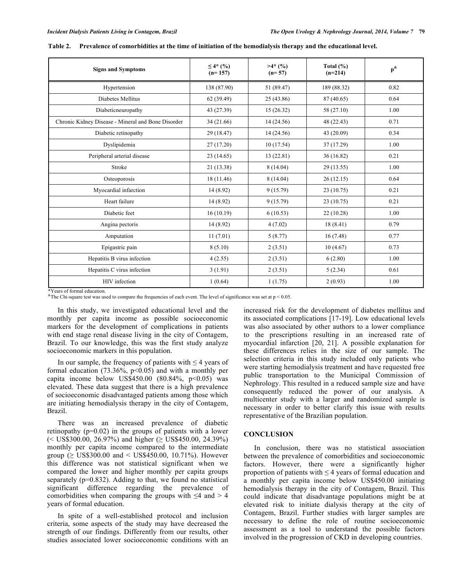| <b>Signs and Symptoms</b>                          | $\leq 4^*$ (%)<br>$(n=157)$ | $>4*(\%)$<br>$(n=57)$ | Total $(\% )$<br>$(n=214)$ | $p^{\&}$ |
|----------------------------------------------------|-----------------------------|-----------------------|----------------------------|----------|
| Hypertension                                       | 138 (87.90)                 | 51 (89.47)            | 189 (88.32)                | 0.82     |
| Diabetes Mellitus                                  | 62 (39.49)                  | 25 (43.86)            | 87 (40.65)                 | 0.64     |
| Diabeticneuropathy                                 | 43 (27.39)                  | 15(26.32)             | 58 (27.10)                 | 1.00     |
| Chronic Kidney Disease - Mineral and Bone Disorder | 34 (21.66)                  | 14 (24.56)            | 48 (22.43)                 | 0.71     |
| Diabetic retinopathy                               | 29 (18.47)                  | 14 (24.56)            | 43 (20.09)                 | 0.34     |
| Dyslipidemia                                       | 27(17.20)                   | 10(17.54)             | 37 (17.29)                 | 1.00     |
| Peripheral arterial disease                        | 23(14.65)                   | 13(22.81)             | 36(16.82)                  | 0.21     |
| Stroke                                             | 21 (13.38)                  | 8(14.04)              | 29(13.55)                  | 1.00     |
| Osteoporosis                                       | 18 (11.46)                  | 8(14.04)              | 26(12.15)                  | 0.64     |
| Myocardial infarction                              | 14(8.92)                    | 9(15.79)              | 23(10.75)                  | 0.21     |
| Heart failure                                      | 14 (8.92)                   | 9(15.79)              | 23(10.75)                  | 0.21     |
| Diabetic feet                                      | 16(10.19)                   | 6(10.53)              | 22(10.28)                  | 1.00     |
| Angina pectoris                                    | 14 (8.92)                   | 4(7.02)               | 18(8.41)                   | 0.79     |
| Amputation                                         | 11(7.01)                    | 5(8.77)               | 16(7.48)                   | 0.77     |
| Epigastric pain                                    | 8(5.10)                     | 2(3.51)               | 10(4.67)                   | 0.73     |
| Hepatitis B virus infection                        | 4(2.55)                     | 2(3.51)               | 6(2.80)                    | 1.00     |
| Hepatitis C virus infection                        | 3(1.91)                     | 2(3.51)               | 5(2.34)                    | 0.61     |
| HIV infection                                      | 1(0.64)                     | 1(1.75)               | 2(0.93)                    | 1.00     |

**Table 2. Prevalence of comorbidities at the time of initiation of the hemodialysis therapy and the educational level.**

\*Years of formal education.

 $*$ The Chi-square test was used to compare the frequencies of each event. The level of significance was set at  $p < 0.05$ .

In this study, we investigated educational level and the monthly per capita income as possible socioeconomic markers for the development of complications in patients with end stage renal disease living in the city of Contagem, Brazil. To our knowledge, this was the first study analyze socioeconomic markers in this population.

In our sample, the frequency of patients with  $\leq 4$  years of formal education  $(73.36\%, p<0.05)$  and with a monthly per capita income below US\$450.00  $(80.84\% \, \text{p} < 0.05)$  was elevated. These data suggest that there is a high prevalence of socioeconomic disadvantaged patients among those which are initiating hemodialysis therapy in the city of Contagem, Brazil.

There was an increased prevalence of diabetic retinopathy (p=0.02) in the groups of patients with a lower  $(<$  US\$300.00, 26.97%) and higher ( $\geq$  US\$450.00, 24.39%) monthly per capita income compared to the intermediate group ( $\geq$  US\$300.00 and < US\$450.00, 10.71%). However this difference was not statistical significant when we compared the lower and higher monthly per capita groups separately  $(p=0.832)$ . Adding to that, we found no statistical significant difference regarding the prevalence of comorbidities when comparing the groups with  $\leq 4$  and  $> 4$ years of formal education.

In spite of a well-established protocol and inclusion criteria, some aspects of the study may have decreased the strength of our findings. Differently from our results, other studies associated lower socioeconomic conditions with an

increased risk for the development of diabetes mellitus and its associated complications [17-19]. Low educational levels was also associated by other authors to a lower compliance to the prescriptions resulting in an increased rate of myocardial infarction [20, 21]. A possible explanation for these differences relies in the size of our sample. The selection criteria in this study included only patients who were starting hemodialysis treatment and have requested free public transportation to the Municipal Commission of Nephrology. This resulted in a reduced sample size and have consequently reduced the power of our analysis. A multicenter study with a larger and randomized sample is necessary in order to better clarify this issue with results representative of the Brazilian population.

# **CONCLUSION**

In conclusion, there was no statistical association between the prevalence of comorbidities and socioeconomic factors. However, there were a significantly higher proportion of patients with  $\leq$  4 years of formal education and a monthly per capita income below US\$450.00 initiating hemodialysis therapy in the city of Contagem, Brazil. This could indicate that disadvantage populations might be at elevated risk to initiate dialysis therapy at the city of Contagem, Brazil. Further studies with larger samples are necessary to define the role of routine socioeconomic assessment as a tool to understand the possible factors involved in the progression of CKD in developing countries.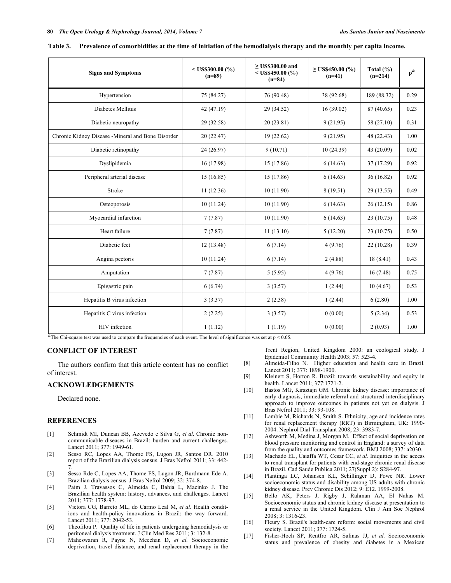| <b>Signs and Symptoms</b>                          | $<$ US\$300.00 (%)<br>$(n=89)$ | $\geq$ US\$300.00 and<br>$<$ US\$450.00 (%)<br>$(n=84)$ | $\geq$ US\$450.00 (%)<br>$(n=41)$ | Total $(\% )$<br>$(n=214)$ | $p^{\&}$ |
|----------------------------------------------------|--------------------------------|---------------------------------------------------------|-----------------------------------|----------------------------|----------|
| Hypertension                                       | 75 (84.27)                     | 76 (90.48)                                              | 38 (92.68)                        | 189 (88.32)                | 0.29     |
| Diabetes Mellitus                                  | 42 (47.19)                     | 29 (34.52)                                              | 16(39.02)                         | 87 (40.65)                 | 0.23     |
| Diabetic neuropathy                                | 29 (32.58)                     | 20(23.81)                                               | 9(21.95)                          | 58 (27.10)                 | 0.31     |
| Chronic Kidney Disease - Mineral and Bone Disorder | 20(22.47)                      | 19(22.62)                                               | 9(21.95)                          | 48 (22.43)                 | 1.00     |
| Diabetic retinopathy                               | 24(26.97)                      | 9(10.71)                                                | 10(24.39)                         | 43 (20.09)                 | 0.02     |
| Dyslipidemia                                       | 16(17.98)                      | 15(17.86)                                               | 6(14.63)                          | 37 (17.29)                 | 0.92     |
| Peripheral arterial disease                        | 15(16.85)                      | 15 (17.86)                                              | 6(14.63)                          | 36(16.82)                  | 0.92     |
| Stroke                                             | 11(12.36)                      | 10(11.90)                                               | 8 (19.51)                         | 29(13.55)                  | 0.49     |
| Osteoporosis                                       | 10(11.24)                      | 10(11.90)                                               | 6(14.63)                          | 26(12.15)                  | 0.86     |
| Myocardial infarction                              | 7(7.87)                        | 10(11.90)                                               | 6(14.63)                          | 23(10.75)                  | 0.48     |
| Heart failure                                      | 7(7.87)                        | 11(13.10)                                               | 5(12.20)                          | 23(10.75)                  | 0.50     |
| Diabetic feet                                      | 12(13.48)                      | 6(7.14)                                                 | 4(9.76)                           | 22(10.28)                  | 0.39     |
| Angina pectoris                                    | 10(11.24)                      | 6(7.14)                                                 | 2(4.88)                           | 18(8.41)                   | 0.43     |
| Amputation                                         | 7(7.87)                        | 5(5.95)                                                 | 4(9.76)                           | 16(7.48)                   | 0.75     |
| Epigastric pain                                    | 6(6.74)                        | 3(3.57)                                                 | 1(2.44)                           | 10(4.67)                   | 0.53     |
| Hepatitis B virus infection                        | 3(3.37)                        | 2(2.38)                                                 | 1(2.44)                           | 6(2.80)                    | 1.00     |
| Hepatitis C virus infection                        | 2(2.25)                        | 3(3.57)                                                 | 0(0.00)                           | 5(2.34)                    | 0.53     |
| HIV infection                                      | 1(1.12)                        | 1(1.19)                                                 | 0(0.00)                           | 2(0.93)                    | 1.00     |

**Table 3. Prevalence of comorbidities at the time of initiation of the hemodialysis therapy and the monthly per capita income.**

 $\overline{\text{R}}$ The Chi-square test was used to compare the frequencies of each event. The level of significance was set at p < 0.05.

# **CONFLICT OF INTEREST**

The authors confirm that this article content has no conflict of interest.

#### **ACKNOWLEDGEMENTS**

Declared none.

#### **REFERENCES**

- [1] Schmidt MI, Duncan BB, Azevedo e Silva G, *et al.* Chronic noncommunicable diseases in Brazil: burden and current challenges. Lancet 2011; 377: 1949-61.
- [2] Sesso RC, Lopes AA, Thome FS, Lugon JR, Santos DR. 2010 report of the Brazilian dialysis census. J Bras Nefrol 2011; 33: 442- 7.
- [3] Sesso Rde C, Lopes AA, Thome FS, Lugon JR, Burdmann Ede A. Brazilian dialysis census. J Bras Nefrol 2009; 32: 374-8.
- [4] Paim J, Travassos C, Almeida C, Bahia L, Macinko J. The Brazilian health system: history, advances, and challenges. Lancet 2011; 377: 1778-97.
- [5] Victora CG, Barreto ML, do Carmo Leal M, *et al.* Health conditions and health-policy innovations in Brazil: the way forward. Lancet 2011; 377: 2042-53.
- [6] Theofilou P. Quality of life in patients undergoing hemodialysis or peritoneal dialysis treatment. J Clin Med Res 2011; 3: 132-8.
- [7] Maheswaran R, Payne N, Meechan D, *et al.* Socioeconomic deprivation, travel distance, and renal replacement therapy in the

Trent Region, United Kingdom 2000: an ecological study. J Epidemiol Community Health 2003; 57: 523-4.

- [8] Almeida-Filho N. Higher education and health care in Brazil. Lancet 2011; 377: 1898-1900.
- [9] Kleinert S, Horton R. Brazil: towards sustainability and equity in health. Lancet 2011; 377:1721-2.
- [10] Bastos MG, Kirsztajn GM. Chronic kidney disease: importance of early diagnosis, immediate referral and structured interdisciplinary approach to improve outcomes in patients not yet on dialysis. J Bras Nefrol 2011; 33: 93-108.
- [11] Lambie M, Richards N, Smith S. Ethnicity, age and incidence rates for renal replacement therapy (RRT) in Birmingham, UK: 1990- 2004. Nephrol Dial Transplant 2008; 23: 3983-7.
- [12] Ashworth M, Medina J, Morgan M. Effect of social deprivation on blood pressure monitoring and control in England: a survey of data from the quality and outcomes framework. BMJ 2008; 337: a2030.
- [13] Machado EL, Caiaffa WT, Cesar CC, et al. Iniquities in the access to renal transplant for patients with end-stage chronic renal disease in Brazil. Cad Saude Publica 2011; 27(Suppl 2): S284-97.
- [14] Plantinga LC, Johansen KL, Schillinger D, Powe NR. Lower socioeconomic status and disability among US adults with chronic kidney disease. Prev Chronic Dis 2012; 9: E12. 1999-2008.
- [15] Bello AK, Peters J, Rigby J, Rahman AA, El Nahas M. Socioeconomic status and chronic kidney disease at presentation to a renal service in the United Kingdom. Clin J Am Soc Nephrol 2008; 3: 1316-23.
- [16] Fleury S. Brazil's health-care reform: social movements and civil society. Lancet 2011; 377: 1724-5.
- [17] Fisher-Hoch SP, Rentfro AR, Salinas JJ, *et al.* Socioeconomic status and prevalence of obesity and diabetes in a Mexican